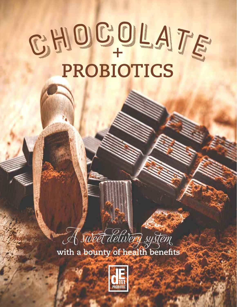# <sup>C</sup>HOCOLATE **+ PROBIOTICS CHOCOLATE**



**with a bounty of health benefits**

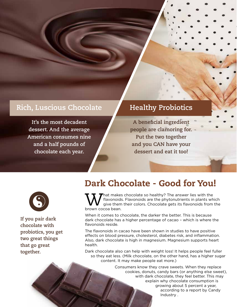#### Rich, Luscious Chocolate **Healthy Probiotics**

**It's the most decadent dessert. And the average American consumes nine and a half pounds of chocolate each year.**

**A beneficial ingredient people are clamoring for. Put the two together and you CAN have your dessert and eat it too!** 



**If you pair dark chocolate with probiotics, you get two great things that go great together.**

# Dark Chocolate - Good for You!

What makes chocolate so healthy? The answer lies with the flavonoids. Flavonoids are the phytonutrients in plants wh<br>prown cocoa bean flavonoids. Flavonoids are the phytonutrients in plants which give them their colors. Chocolate gets its flavonoids from the brown cocoa bean.

When it comes to chocolate, the darker the better. This is because dark chocolate has a higher percentage of cacao – which is where the flavonoids reside.

The flavonoids in cacao have been shown in studies to have positive effects on blood pressure, cholesterol, diabetes risk, and inflammation. Also, dark chocolate is high in magnesium. Magnesium supports heart health.

Dark chocolate also can help with weight loss! It helps people feel fuller so they eat less. (Milk chocolate, on the other hand, has a higher sugar content. It may make people eat more.)

> Consumers know they crave sweets. When they replace cookies, donuts, candy bars (or anything else sweet), with dark chocolate, they feel better. This may explain why chocolate consumption is growing about 5 percent a year, according to a report by Candy Industry .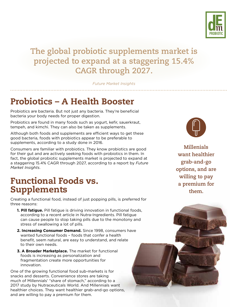

# **The global probiotic supplements market is projected to expand at a staggering 15.4% CAGR through 2027.**

*Future Market Insights*

# Probiotics – A Health Booster

Probiotics are bacteria. But not just any bacteria. They're beneficial bacteria your body needs for proper digestion.

Probiotics are found in many foods such as yogurt, kefir, sauerkraut, tempeh, and kimchi. They can also be taken as supplements.

Although both foods and supplements are efficient ways to get these good bacteria, foods with probiotics appear to be preferable to supplements, according to a study done in 2016.

Consumers are familiar with probiotics. They know probiotics are good for their gut and are actively seeking foods with probiotics in them. In fact, the global probiotic supplements market is projected to expand at a staggering 15.4% CAGR through 2027, according to a report by *Future Market Insights*.

### Functional Foods vs. Supplements

Creating a functional food, instead of just popping pills, is preferred for three reasons:

- **1. Pill fatigue.** Pill fatigue is driving innovation in functional foods, according to a recent article in Nutra-Ingredients. Pill fatigue can cause people to stop taking pills due to the monotony and stress of swallowing a lot of pills.
- **2. Increasing Consumer Demand.** Since 1998, consumers have wanted functional foods – foods that confer a health benefit, seem natural, are easy to understand, and relate to their own needs.
- **3. A Broader Marketplace.** The market for functional foods is increasing as personalization and fragmentation create more opportunities for innovation.

One of the growing functional food sub-markets is for snacks and desserts. Convenience stores are taking much of Millennials' "share of stomach," according to a 2017 study by Nutraceuticals World. And Millennials want healthier choices. They want healthier grab-and-go options, and are willing to pay a premium for them.

**Millenials want healthier grab-and-go options, and are willing to pay a premium for them.**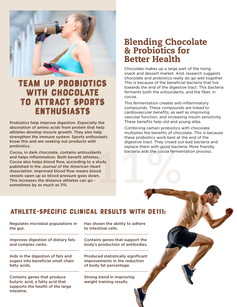

# Team Up Probiotics with Chocolate to attract Sports Enthusiasts

Probiotics help improve digestion. Especially the absorption of amino acids from protein that help athletes develop muscle growth. They also help strengthen the immune system. Sports enthusiasts know this and are seeking out products with probiotics.

**11%** Cocoa, in dark chocolate, contains antioxidants and helps inflammation. Both benefit athletes. Cocoa also helps blood flow, according to a study published in the *Journal of the American Heart Association*. Improved blood flow means blood vessels open up so blood pressure goes down. This increases the distance athletes can go sometimes by as much as 11%.

### Blending Chocolate & Probiotics for Better Health

Chocolate makes up a large part of the rising snack and dessert market. And, research suggests chocolate and probiotics really do go well together. This is because of the beneficial bacteria that live towards the end of the digestive tract. This bacteria ferments both the antioxidants, and the fiber, in cocoa.

This fermentation creates anti-inflammatory compounds. These compounds are linked to cardiovascular benefits, as well as improving vascular function, and increasing insulin sensitivity. These benefits help old and young alike.

Combining certain probiotics with chocolate multiplies the benefits of chocolate. This is because these probiotics work best at the end of the digestive tract. They crowd out bad bacteria and replace them with good bacteria. More friendly bacteria aids the cocoa fermentation process.

#### Athlete-Specific Clinical Results with DE111:

Regulates microbial populations in the gut.

Improves digestion of dietary fats and complex carbs.

Aids in the digestion of fats and sugars into beneficial small chain fatty acids.

Contains genes that produce butyric acid, a fatty acid that supports the health of the large intestine.

Has shown the ability to adhere to intestinal cells.

Contains genes that support the body's production of antibodies.

Produced statistically significant improvements in the reduction of body fat percentage.

Strong trend in improving weight training results.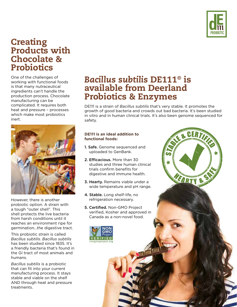

#### **Creating** Products with Chocolate & **Probiotics**

One of the challenges of working with functional foods is that many nutraceutical ingredients can't handle the production process. Chocolate manufacturing can be complicated. It requires both heat and pressure – processes which make most probiotics inert.



However, there is another probiotic option. A strain with a tough "outer shell". This shell protects the live bacteria from harsh conditions until it reaches an environment ripe for germination...the digestive tract.

This probiotic strain is called *Bacillus subtilis*. *Bacillus subtilis* has been studied since 1835. It's a friendly bacteria that's found in the GI tract of most animals and humans.

*Bacillus subtilis* is a probiotic that can fit into your current manufacturing process. It stays stable and viable on the shelf AND through heat and pressure treatments.

### *Bacillus subtilis* DE111® is available from Deerland Probiotics & Enzymes

DE111 is a strain of *Bacillus subtilis* that's very stable. It promotes the growth of good bacteria and crowds out bad bacteria. It's been studied in vitro and in human clinical trials. It's also been genome sequenced for safety.

**FARTY** 

#### **DE111 is an ideal addition to functional foods:**

- 1. Safe. Genome sequenced and uploaded to GenBank.
- 2. Efficacious. More than 30 studies and three human clinical trials confirm benefits for digestive and immune health.
- 3. Hearty. Remains viable under a wide temperature and pH range.
- 4. Stable. Long shelf-life, no refrigeration necessary.
- 5. Certified. Non-GMO Project verified, Kosher and approved in Canada as a non-novel food.